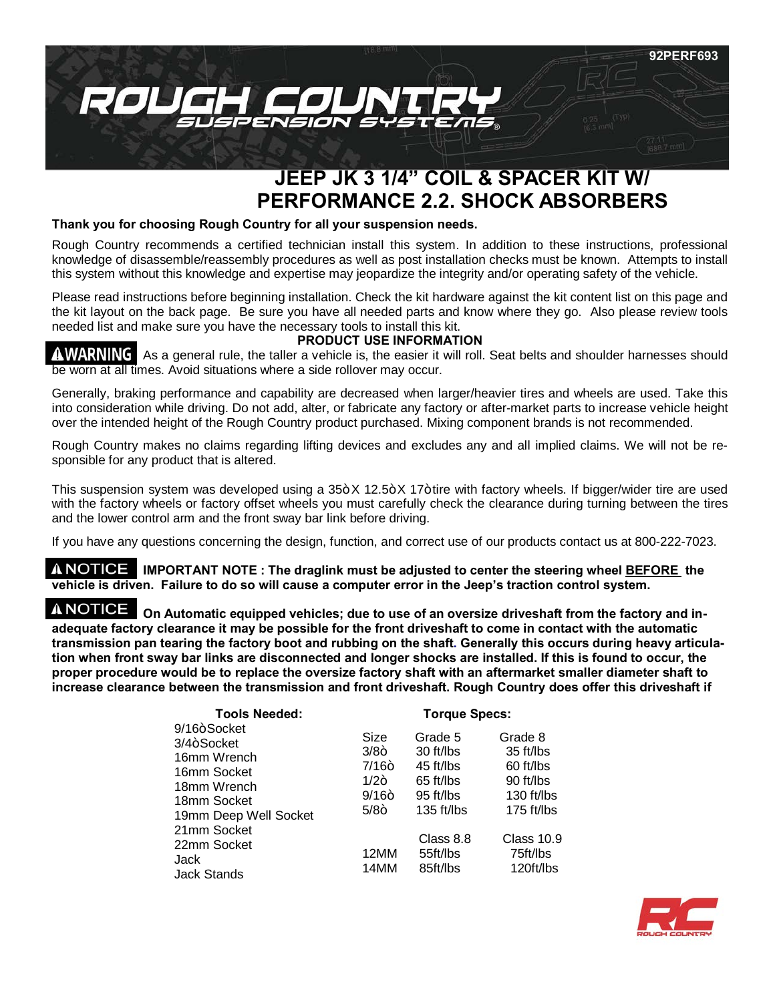

# **JEEP JK 3 1/4" COIL & SPACER KIT W/ PERFORMANCE 2.2. SHOCK ABSORBERS**

#### **Thank you for choosing Rough Country for all your suspension needs.**

Rough Country recommends a certified technician install this system. In addition to these instructions, professional knowledge of disassemble/reassembly procedures as well as post installation checks must be known. Attempts to install this system without this knowledge and expertise may jeopardize the integrity and/or operating safety of the vehicle.

Please read instructions before beginning installation. Check the kit hardware against the kit content list on this page and the kit layout on the back page. Be sure you have all needed parts and know where they go. Also please review tools needed list and make sure you have the necessary tools to install this kit.

# **PRODUCT USE INFORMATION**

**AWARNING** As a general rule, the taller a vehicle is, the easier it will roll. Seat belts and shoulder harnesses should be worn at all times. Avoid situations where a side rollover may occur.

Generally, braking performance and capability are decreased when larger/heavier tires and wheels are used. Take this into consideration while driving. Do not add, alter, or fabricate any factory or after-market parts to increase vehicle height over the intended height of the Rough Country product purchased. Mixing component brands is not recommended.

Rough Country makes no claims regarding lifting devices and excludes any and all implied claims. We will not be responsible for any product that is altered.

This suspension system was developed using a  $35+X$  12.5+X 17+tire with factory wheels. If bigger/wider tire are used with the factory wheels or factory offset wheels you must carefully check the clearance during turning between the tires and the lower control arm and the front sway bar link before driving.

If you have any questions concerning the design, function, and correct use of our products contact us at 800-222-7023.

**A NOTICE** IMPORTANT NOTE : The draglink must be adjusted to center the steering wheel **BEFORE** the **vehicle is driven. Failure to do so will cause a computer error in the Jeep's traction control system.** 

**A NOTICE** On Automatic equipped vehicles; due to use of an oversize driveshaft from the factory and in**adequate factory clearance it may be possible for the front driveshaft to come in contact with the automatic transmission pan tearing the factory boot and rubbing on the shaft. Generally this occurs during heavy articulation when front sway bar links are disconnected and longer shocks are installed. If this is found to occur, the proper procedure would be to replace the oversize factory shaft with an aftermarket smaller diameter shaft to increase clearance between the transmission and front driveshaft. Rough Country does offer this driveshaft if** 

| <b>Tools Needed:</b>                                                                                               | <b>Torque Specs:</b>                                     |                                                                           |                                                                            |
|--------------------------------------------------------------------------------------------------------------------|----------------------------------------------------------|---------------------------------------------------------------------------|----------------------------------------------------------------------------|
| 9/16+Socket<br>$3/4 +$ Socket<br>16mm Wrench<br>16mm Socket<br>18mm Wrench<br>18mm Socket<br>19mm Deep Well Socket | Size<br>$3/8+$<br>$7/16+$<br>$1/2+$<br>$9/16+$<br>$5/8+$ | Grade 5<br>30 ft/lbs<br>45 ft/lbs<br>65 ft/lbs<br>95 ft/lbs<br>135 ft/lbs | Grade 8<br>35 ft/lbs<br>60 ft/lbs<br>90 ft/lbs<br>130 ft/lbs<br>175 ft/lbs |
| 21mm Socket<br>22mm Socket<br>Jack<br><b>Jack Stands</b>                                                           | 12MM<br>14MM                                             | Class 8.8<br>55ft/lbs<br>85ft/lbs                                         | Class 10.9<br>75ft/lbs<br>120ft/lbs                                        |

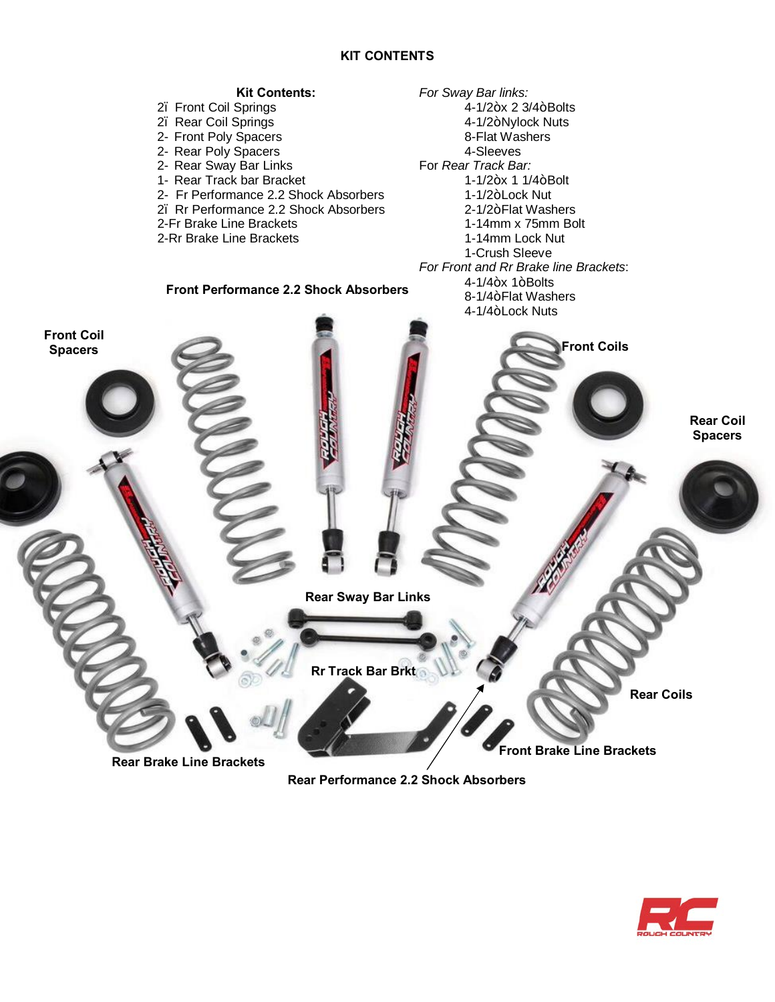# **KIT CONTENTS**



**Rear Performance 2.2 Shock Absorbers** 

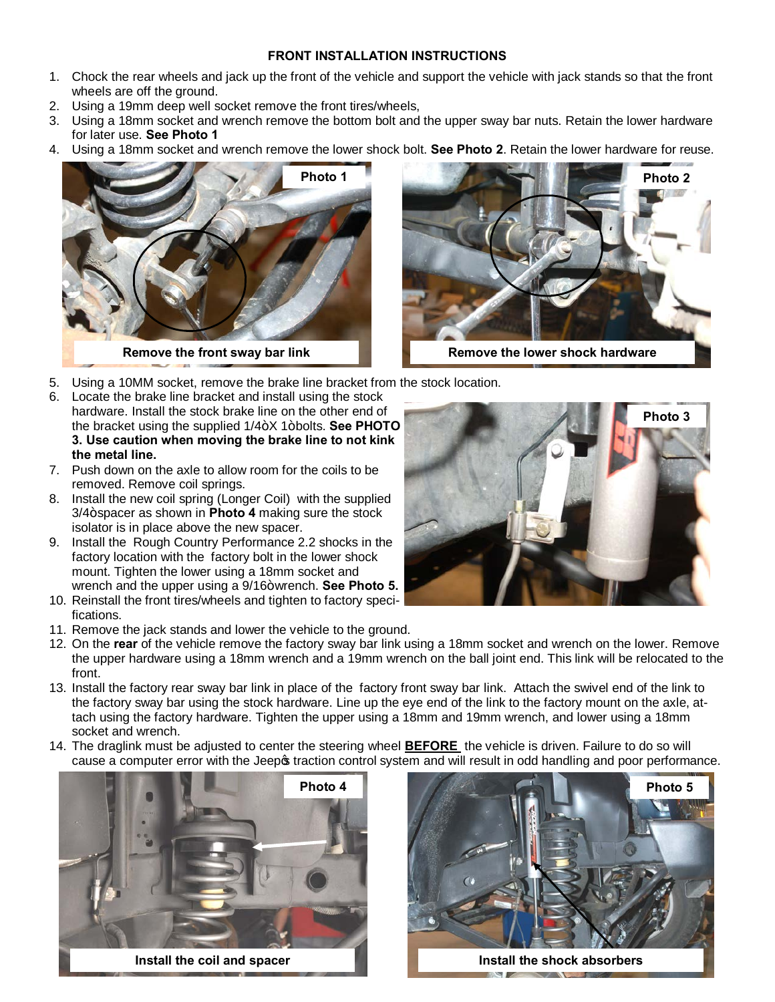### **FRONT INSTALLATION INSTRUCTIONS**

- 1. Chock the rear wheels and jack up the front of the vehicle and support the vehicle with jack stands so that the front wheels are off the ground.
- 2. Using a 19mm deep well socket remove the front tires/wheels,
- 3. Using a 18mm socket and wrench remove the bottom bolt and the upper sway bar nuts. Retain the lower hardware for later use. **See Photo 1**
- 4. Using a 18mm socket and wrench remove the lower shock bolt. **See Photo 2**. Retain the lower hardware for reuse.



**Remove the front sway bar link**



- 5. Using a 10MM socket, remove the brake line bracket from the stock location.
- 6. Locate the brake line bracket and install using the stock hardware. Install the stock brake line on the other end of the bracket using the supplied  $1/4+X$  1+bolts. See PHOTO **3. Use caution when moving the brake line to not kink the metal line.**
- 7. Push down on the axle to allow room for the coils to be removed. Remove coil springs.
- 8. Install the new coil spring (Longer Coil) with the supplied 3/4+ spacer as shown in **Photo 4** making sure the stock isolator is in place above the new spacer.
- 9. Install the Rough Country Performance 2.2 shocks in the factory location with the factory bolt in the lower shock mount. Tighten the lower using a 18mm socket and wrench and the upper using a 9/16+wrench. See Photo 5.
- 10. Reinstall the front tires/wheels and tighten to factory specifications.
- 11. Remove the jack stands and lower the vehicle to the ground.
- 12. On the **rear** of the vehicle remove the factory sway bar link using a 18mm socket and wrench on the lower. Remove the upper hardware using a 18mm wrench and a 19mm wrench on the ball joint end. This link will be relocated to the front.
- 13. Install the factory rear sway bar link in place of the factory front sway bar link. Attach the swivel end of the link to the factory sway bar using the stock hardware. Line up the eye end of the link to the factory mount on the axle, attach using the factory hardware. Tighten the upper using a 18mm and 19mm wrench, and lower using a 18mm socket and wrench.
- 14. The draglink must be adjusted to center the steering wheel **BEFORE** the vehicle is driven. Failure to do so will cause a computer error with the Jeep traction control system and will result in odd handling and poor performance.





**Install the coil and spacer Install the shock absorbers** 

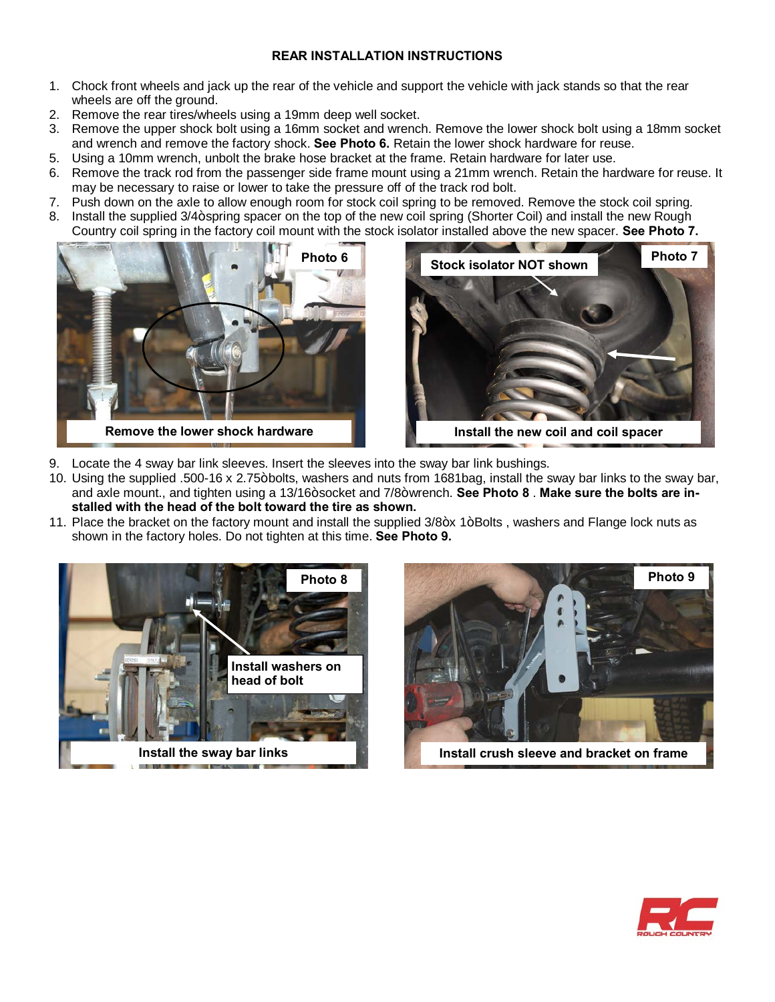# **REAR INSTALLATION INSTRUCTIONS**

- 1. Chock front wheels and jack up the rear of the vehicle and support the vehicle with jack stands so that the rear wheels are off the ground.
- 2. Remove the rear tires/wheels using a 19mm deep well socket.
- 3. Remove the upper shock bolt using a 16mm socket and wrench. Remove the lower shock bolt using a 18mm socket and wrench and remove the factory shock. **See Photo 6.** Retain the lower shock hardware for reuse.
- 5. Using a 10mm wrench, unbolt the brake hose bracket at the frame. Retain hardware for later use.
- 6. Remove the track rod from the passenger side frame mount using a 21mm wrench. Retain the hardware for reuse. It may be necessary to raise or lower to take the pressure off of the track rod bolt.
- 7. Push down on the axle to allow enough room for stock coil spring to be removed. Remove the stock coil spring.
- 8. Install the supplied 3/4+ spring spacer on the top of the new coil spring (Shorter Coil) and install the new Rough Country coil spring in the factory coil mount with the stock isolator installed above the new spacer. **See Photo 7.**





- 9. Locate the 4 sway bar link sleeves. Insert the sleeves into the sway bar link bushings.
- 10. Using the supplied .500-16 x 2.75+bolts, washers and nuts from 1681bag, install the sway bar links to the sway bar, and axle mount., and tighten using a 13/16+socket and 7/8+wrench. See Photo 8. Make sure the bolts are in**stalled with the head of the bolt toward the tire as shown.**
- 11. Place the bracket on the factory mount and install the supplied 3/8+x 1+Bolts, washers and Flange lock nuts as shown in the factory holes. Do not tighten at this time. **See Photo 9.**





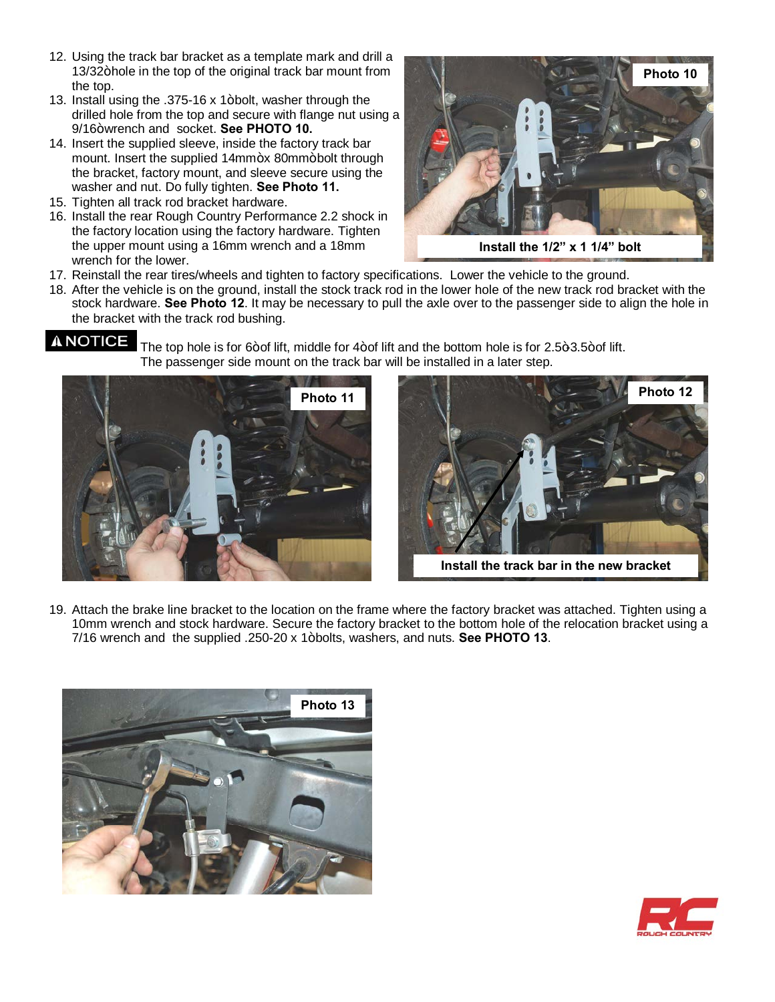- 12. Using the track bar bracket as a template mark and drill a 13/32+hole in the top of the original track bar mount from the top.
- 13. Install using the  $.375-16 \times 1+$  bolt, washer through the drilled hole from the top and secure with flange nut using a 9/16+wrench and socket. **See PHOTO 10.**
- 14. Insert the supplied sleeve, inside the factory track bar mount. Insert the supplied 14mm+x 80mm+bolt through the bracket, factory mount, and sleeve secure using the washer and nut. Do fully tighten. **See Photo 11.**
- 15. Tighten all track rod bracket hardware.
- 16. Install the rear Rough Country Performance 2.2 shock in the factory location using the factory hardware. Tighten the upper mount using a 16mm wrench and a 18mm wrench for the lower.



**Install the 1/2" x 1 1/4" bolt**

- 17. Reinstall the rear tires/wheels and tighten to factory specifications. Lower the vehicle to the ground.
- 18. After the vehicle is on the ground, install the stock track rod in the lower hole of the new track rod bracket with the stock hardware. **See Photo 12**. It may be necessary to pull the axle over to the passenger side to align the hole in the bracket with the track rod bushing.

A NOTICE The top hole is for 6+of lift, middle for 4+of lift and the bottom hole is for 2.5+3.5+of lift. The passenger side mount on the track bar will be installed in a later step.





**Install the track bar in the new bracket**

19. Attach the brake line bracket to the location on the frame where the factory bracket was attached. Tighten using a 10mm wrench and stock hardware. Secure the factory bracket to the bottom hole of the relocation bracket using a 7/16 wrench and the supplied .250-20 x 1" bolts, washers, and nuts. **See PHOTO 13**.